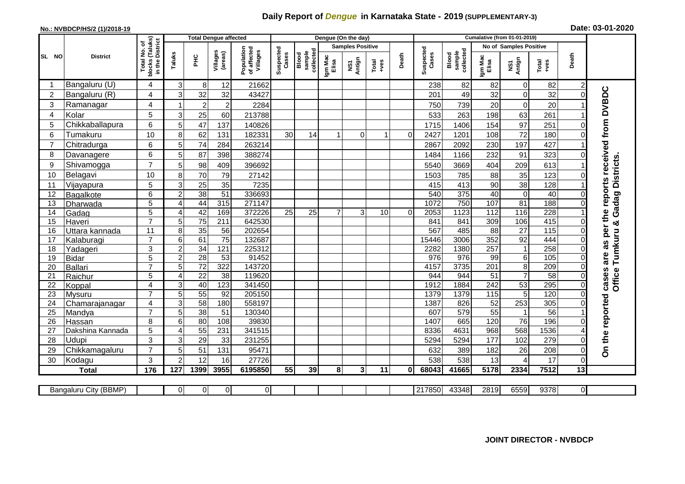## **Daily Report of** *Dengue* **in Karnataka State - 2019 (SUPPLEMENTARY-3)**

## **No.: NVBDCP/HS/2 (1)/2018-19 Date: 03-01-2020**

|                 | <b>Total Dengue affected</b> |                                               |                |                 |                        |                                       |                    |                              |                  | Dengue (On the day)     |               |          |                    |                              |                   |                        |                        |                 |                              |
|-----------------|------------------------------|-----------------------------------------------|----------------|-----------------|------------------------|---------------------------------------|--------------------|------------------------------|------------------|-------------------------|---------------|----------|--------------------|------------------------------|-------------------|------------------------|------------------------|-----------------|------------------------------|
|                 |                              | (Taluks)<br>৳                                 |                |                 |                        |                                       |                    |                              |                  | <b>Samples Positive</b> |               |          |                    |                              |                   | No of Samples Positive |                        |                 |                              |
| SL NO           | <b>District</b>              | in the District<br>Total No.<br><b>blocks</b> | Taluks         | PHC             | Villages<br>(areas)    | Population<br>of affected<br>Villages | Suspected<br>Cases | collected<br>sample<br>Blood | Igm Mac<br>Elisa | Antign<br>Σñ            | Total<br>+ves | Death    | Suspected<br>Cases | Blood<br>sample<br>collected | Igm Mac<br>Elisa  | NS1<br>Antign          | Total<br>+ves          | Death           |                              |
|                 | Bangaluru (U)                | 4                                             | 3              | 8               | 12                     | 21662                                 |                    |                              |                  |                         |               |          | 238                | 82                           | 82                | $\overline{0}$         | 82                     | 2               |                              |
| $\overline{2}$  | Bangaluru (R)                | 4                                             | 3              | 32              | 32                     | 43427                                 |                    |                              |                  |                         |               |          | 201                | 49                           | 32                | $\Omega$               | 32                     | 0               |                              |
| 3               | Ramanagar                    | 4                                             |                | $\overline{2}$  | $\overline{2}$         | 2284                                  |                    |                              |                  |                         |               |          | 750                | 739                          | 20                | $\Omega$               | 20                     |                 | received from DVBDC          |
| $\overline{A}$  | Kolar                        | 5                                             | 3              | 25              | 60                     | 213788                                |                    |                              |                  |                         |               |          | 533                | 263                          | 198               | 63                     | 261                    |                 |                              |
| 5               | Chikkaballapura              | 6                                             | 5              | 47              | 137                    | 140826                                |                    |                              |                  |                         |               |          | 1715               | 1406                         | 154               | 97                     | 251                    |                 |                              |
| 6               | Tumakuru                     | 10                                            | 8              | 62              | 131                    | 182331                                | 30                 | 14                           | 1                | 0                       | 1             | $\Omega$ | 2427               | 1201                         | 108               | 72                     | 180                    |                 |                              |
| $\overline{7}$  | Chitradurga                  | 6                                             | 5              | 74              | 284                    | 263214                                |                    |                              |                  |                         |               |          | 2867               | 2092                         | 230               | 197                    | 427                    |                 |                              |
| 8               | Davanagere                   | 6                                             | 5              | 87              | 398                    | 388274                                |                    |                              |                  |                         |               |          | 1484               | 1166                         | 232               | 91                     | 323                    |                 |                              |
| 9               | Shivamogga                   | $\overline{7}$                                | 5              | 98              | 409                    | 396692                                |                    |                              |                  |                         |               |          | 5540               | 3669                         | 404               | 209                    | 613                    |                 | Tumkuru & Gadag Districts    |
| 10              | Belagavi                     | 10                                            | 8              | 70              | 79                     | 27142                                 |                    |                              |                  |                         |               |          | 1503               | 785                          | 88                | 35                     | 123                    |                 |                              |
| 11              | Vijayapura                   | 5                                             | 3              | 25              | 35                     | 7235                                  |                    |                              |                  |                         |               |          | 415                | 413                          | 90                | 38                     | 128                    |                 | S,                           |
| 12              | Bagalkote                    | 6                                             | $\overline{2}$ | 38              | $\overline{51}$        | 336693                                |                    |                              |                  |                         |               |          | 540                | 375                          | 40                | $\Omega$               | 40                     |                 | report                       |
| 13              | Dharwada                     | $\overline{5}$                                | 4              | 44              | 315                    | 271147                                |                    |                              |                  |                         |               |          | 1072               | 750                          | 107               | $\overline{81}$        | 188                    | 0               |                              |
| 14              | Gadag                        | $\overline{5}$                                | $\overline{A}$ | 42              | 169                    | 372226                                | $\overline{25}$    | $\overline{25}$              | $\overline{7}$   | 3                       | 10            | $\Omega$ | 2053               | 1123                         | 112               | 116                    | 228                    |                 | the                          |
| 15              | Haveri                       | $\overline{7}$                                | 5              | $\overline{75}$ | 211                    | 642530                                |                    |                              |                  |                         |               |          | 841                | 841                          | 309               | 106                    | 415                    | $\Omega$        |                              |
| 16              | Uttara kannada               | 11                                            | 8 <sup>1</sup> | 35              | 56                     | 202654                                |                    |                              |                  |                         |               |          | 567                | 485                          | $\overline{88}$   | $\overline{27}$        | 115                    | $\Omega$        | per                          |
| 17              | Kalaburagi                   | $\overline{7}$                                | 6              | 61              | $\overline{75}$        | 132687                                |                    |                              |                  |                         |               |          | 15446              | 3006                         | $\overline{352}$  | 92                     | 444                    | $\Omega$        | as                           |
| 18              | Yadageri                     | 3                                             | $\overline{2}$ | 34              | 121                    | 225312                                |                    |                              |                  |                         |               |          | 2282               | 1380                         | 257               |                        | 258                    | $\Omega$        |                              |
| 19              | <b>Bidar</b>                 | $\overline{5}$                                | $\overline{2}$ | $\overline{28}$ | 53                     | 91452                                 |                    |                              |                  |                         |               |          | 976                | 976                          | 99                | $6 \mid$               | $\frac{105}{105}$      | $\Omega$        | are                          |
| 20              | Ballari                      | $\overline{7}$                                | 5              | $\overline{72}$ | 322                    | 143720                                |                    |                              |                  |                         |               |          | 4157               | 3735                         | 201               | 8                      | 209                    | $\Omega$        |                              |
| 21              | Raichur                      | 5                                             | 4              | $\overline{22}$ | $\overline{38}$        | 119620                                |                    |                              |                  |                         |               |          | 944                | 944                          | $\overline{51}$   | $\overline{7}$         | 58                     | $\Omega$        | Office <sup>-</sup><br>cases |
| $\overline{22}$ | Koppal                       | $\overline{4}$                                | 3              | 40              | 123                    | 341450                                |                    |                              |                  |                         |               |          | 1912               | 1884                         | 242               | 53                     | 295                    | $\overline{0}$  |                              |
| $\overline{23}$ | Mysuru                       | $\overline{7}$                                | 5              | 55              | $\overline{92}$        | 205150                                |                    |                              |                  |                         |               |          | 1379               | 1379                         | $\frac{115}{115}$ | 5                      | 120                    | $\Omega$        |                              |
| 24              | Chamarajanagar               | 4<br>$\overline{7}$                           | 3<br>5         | 58              | 180<br>$\overline{51}$ | 558197<br>130340                      |                    |                              |                  |                         |               |          | 1387<br>607        | 826<br>579                   | 52<br>55          | 253                    | $\overline{305}$<br>56 | 0               |                              |
| 25              | Mandya                       |                                               | 6              | 38<br>80        | 108                    | 39830                                 |                    |                              |                  |                         |               |          | 1407               | 665                          | 120               | 76                     | 196                    |                 |                              |
| 26<br>27        | Hassan<br>Dakshina Kannada   | 8<br>$\overline{5}$                           | $\Delta$       | 55              | 231                    | 341515                                |                    |                              |                  |                         |               |          | 8336               | 4631                         | 968               | 568                    | 1536                   |                 |                              |
| 28              | Udupi                        | 3                                             | 3              | 29              | 33                     | 231255                                |                    |                              |                  |                         |               |          | 5294               | 5294                         | 177               | 102                    | 279                    | 0               |                              |
| 29              | Chikkamagaluru               | $\overline{7}$                                | 5              | 51              | 131                    | 95471                                 |                    |                              |                  |                         |               |          | 632                | 389                          | 182               | 26                     | 208                    | $\Omega$        | On the reported              |
| 30              | Kodagu                       | 3                                             | $\overline{2}$ | 12              | 16                     | 27726                                 |                    |                              |                  |                         |               |          | 538                | 538                          | 13                |                        | 17                     | $\Omega$        |                              |
|                 | <b>Total</b>                 | 176                                           | 127            | 1399            | 3955                   | 6195850                               | 55                 | 39                           | 8                | 3 <sup>1</sup>          | 11            | 0        | 68043              | 41665                        | 5178              | 2334                   | 7512                   | $\overline{13}$ |                              |
|                 |                              |                                               |                |                 |                        |                                       |                    |                              |                  |                         |               |          |                    |                              |                   |                        |                        |                 |                              |
|                 | Bangaluru City (BBMP)        |                                               | 0              | 0               | $\overline{0}$         | $\overline{0}$                        |                    |                              |                  |                         |               |          | 217850             | 43348                        | 2819              | 6559                   | 9378                   | $\mathbf 0$     |                              |